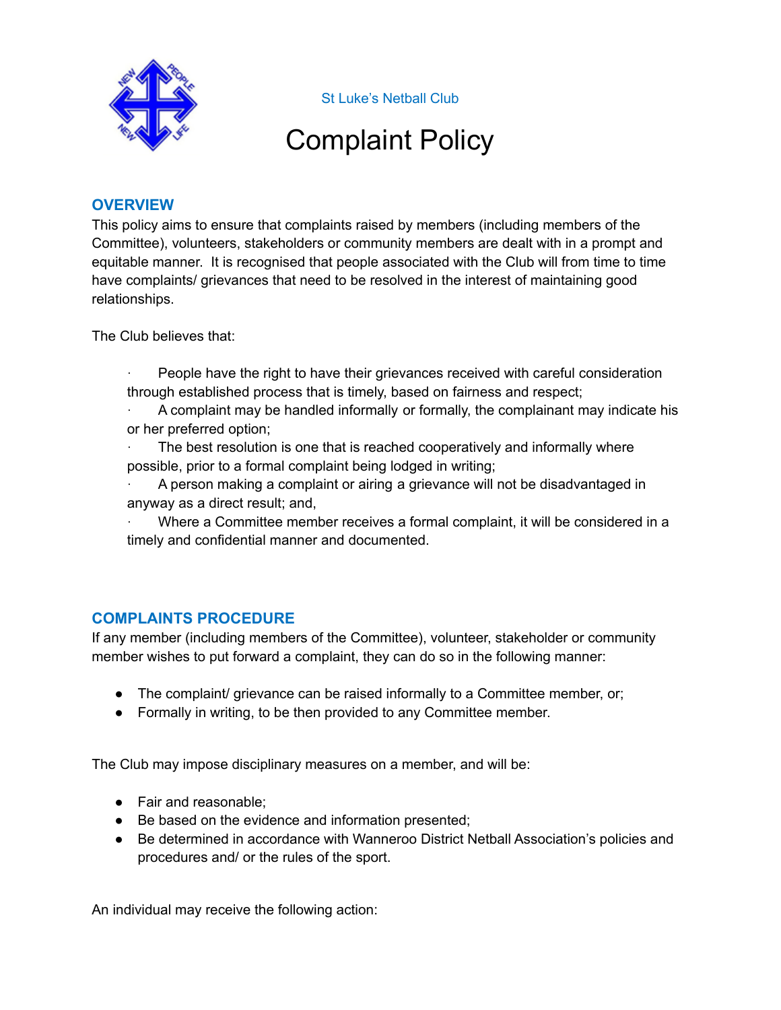

St Luke's Netball Club

## Complaint Policy

## **OVERVIEW**

This policy aims to ensure that complaints raised by members (including members of the Committee), volunteers, stakeholders or community members are dealt with in a prompt and equitable manner. It is recognised that people associated with the Club will from time to time have complaints/ grievances that need to be resolved in the interest of maintaining good relationships.

The Club believes that:

- · People have the right to have their grievances received with careful consideration through established process that is timely, based on fairness and respect;
- · A complaint may be handled informally or formally, the complainant may indicate his or her preferred option;
- The best resolution is one that is reached cooperatively and informally where possible, prior to a formal complaint being lodged in writing;
- · A person making a complaint or airing a grievance will not be disadvantaged in anyway as a direct result; and,

Where a Committee member receives a formal complaint, it will be considered in a timely and confidential manner and documented.

## **COMPLAINTS PROCEDURE**

If any member (including members of the Committee), volunteer, stakeholder or community member wishes to put forward a complaint, they can do so in the following manner:

- The complaint/ grievance can be raised informally to a Committee member, or;
- Formally in writing, to be then provided to any Committee member.

The Club may impose disciplinary measures on a member, and will be:

- Fair and reasonable:
- Be based on the evidence and information presented;
- Be determined in accordance with Wanneroo District Netball Association's policies and procedures and/ or the rules of the sport.

An individual may receive the following action: